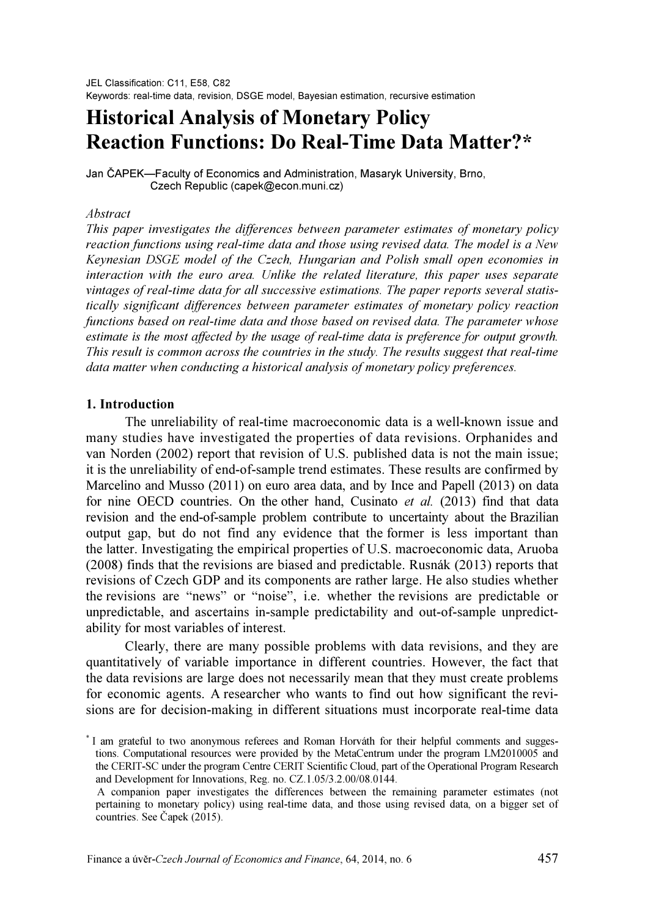# Historical Analysis of Monetary Policy Reaction Functions: Do Real-Time Data Matter?\*

Jan ČAPEK—Faculty of Economics and Administration, Masaryk University, Brno, Czech Republic (capek@econ.muni.cz)

#### Abstract

This paper investigates the differences between parameter estimates of monetary policy reaction functions using real-time data and those using revised data. The model is a New Keynesian DSGE model of the Czech, Hungarian and Polish small open economies in interaction with the euro area. Unlike the related literature, this paper uses separate vintages of real-time data for all successive estimations. The paper reports several statistically significant differences between parameter estimates of monetary policy reaction functions based on real-time data and those based on revised data. The parameter whose estimate is the most affected by the usage of real-time data is preference for output growth. This result is common across the countries in the study. The results suggest that real-time data matter when conducting a historical analysis of monetary policy preferences.

## 1. Introduction

The unreliability of real-time macroeconomic data is a well-known issue and many studies have investigated the properties of data revisions. Orphanides and van Norden (2002) report that revision of U.S. published data is not the main issue; it is the unreliability of end-of-sample trend estimates. These results are confirmed by Marcelino and Musso (2011) on euro area data, and by Ince and Papell (2013) on data for nine OECD countries. On the other hand, Cusinato et al. (2013) find that data revision and the end-of-sample problem contribute to uncertainty about the Brazilian output gap, but do not find any evidence that the former is less important than the latter. Investigating the empirical properties of U.S. macroeconomic data, Aruoba (2008) finds that the revisions are biased and predictable. Rusnák (2013) reports that revisions of Czech GDP and its components are rather large. He also studies whether the revisions are "news" or "noise", i.e. whether the revisions are predictable or unpredictable, and ascertains in-sample predictability and out-of-sample unpredictability for most variables of interest.

Clearly, there are many possible problems with data revisions, and they are quantitatively of variable importance in different countries. However, the fact that the data revisions are large does not necessarily mean that they must create problems for economic agents. A researcher who wants to find out how significant the revisions are for decision-making in different situations must incorporate real-time data

<sup>\*</sup> I am grateful to two anonymous referees and Roman Horváth for their helpful comments and suggestions. Computational resources were provided by the MetaCentrum under the program LM2010005 and the CERIT-SC under the program Centre CERIT Scientific Cloud, part of the Operational Program Research and Development for Innovations, Reg. no. CZ.1.05/3.2.00/08.0144.

A companion paper investigates the differences between the remaining parameter estimates (not pertaining to monetary policy) using real-time data, and those using revised data, on a bigger set of countries. See Čapek (2015).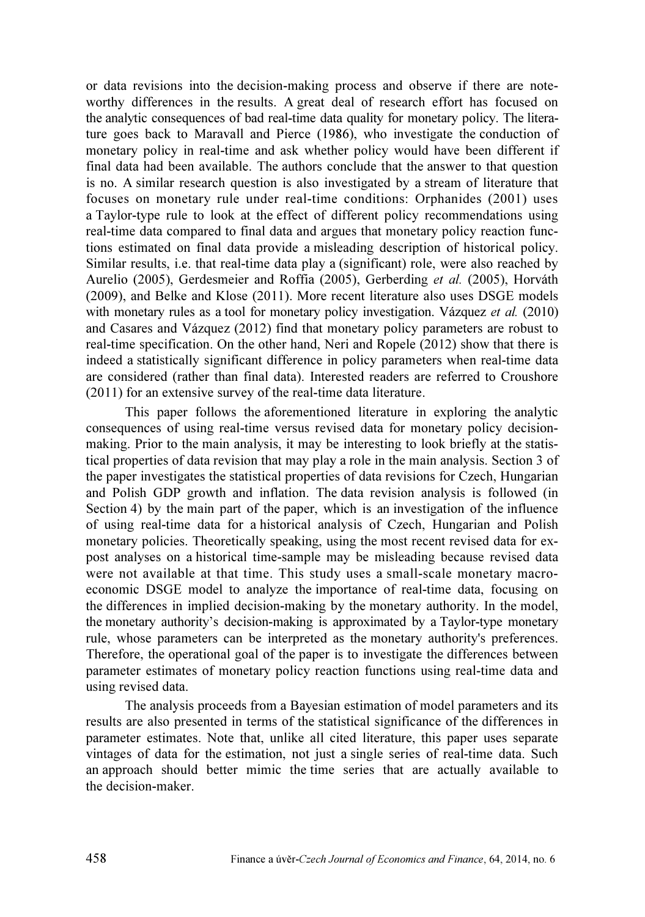or data revisions into the decision-making process and observe if there are noteworthy differences in the results. A great deal of research effort has focused on the analytic consequences of bad real-time data quality for monetary policy. The literature goes back to Maravall and Pierce (1986), who investigate the conduction of monetary policy in real-time and ask whether policy would have been different if final data had been available. The authors conclude that the answer to that question is no. A similar research question is also investigated by a stream of literature that focuses on monetary rule under real-time conditions: Orphanides (2001) uses a Taylor-type rule to look at the effect of different policy recommendations using real-time data compared to final data and argues that monetary policy reaction functions estimated on final data provide a misleading description of historical policy. Similar results, i.e. that real-time data play a (significant) role, were also reached by Aurelio (2005), Gerdesmeier and Roffia (2005), Gerberding et al. (2005), Horváth (2009), and Belke and Klose (2011). More recent literature also uses DSGE models with monetary rules as a tool for monetary policy investigation. Vázquez et al. (2010) and Casares and Vázquez (2012) find that monetary policy parameters are robust to real-time specification. On the other hand, Neri and Ropele (2012) show that there is indeed a statistically significant difference in policy parameters when real-time data are considered (rather than final data). Interested readers are referred to Croushore (2011) for an extensive survey of the real-time data literature.

This paper follows the aforementioned literature in exploring the analytic consequences of using real-time versus revised data for monetary policy decisionmaking. Prior to the main analysis, it may be interesting to look briefly at the statistical properties of data revision that may play a role in the main analysis. Section 3 of the paper investigates the statistical properties of data revisions for Czech, Hungarian and Polish GDP growth and inflation. The data revision analysis is followed (in Section 4) by the main part of the paper, which is an investigation of the influence of using real-time data for a historical analysis of Czech, Hungarian and Polish monetary policies. Theoretically speaking, using the most recent revised data for expost analyses on a historical time-sample may be misleading because revised data were not available at that time. This study uses a small-scale monetary macroeconomic DSGE model to analyze the importance of real-time data, focusing on the differences in implied decision-making by the monetary authority. In the model, the monetary authority's decision-making is approximated by a Taylor-type monetary rule, whose parameters can be interpreted as the monetary authority's preferences. Therefore, the operational goal of the paper is to investigate the differences between parameter estimates of monetary policy reaction functions using real-time data and using revised data.

The analysis proceeds from a Bayesian estimation of model parameters and its results are also presented in terms of the statistical significance of the differences in parameter estimates. Note that, unlike all cited literature, this paper uses separate vintages of data for the estimation, not just a single series of real-time data. Such an approach should better mimic the time series that are actually available to the decision-maker.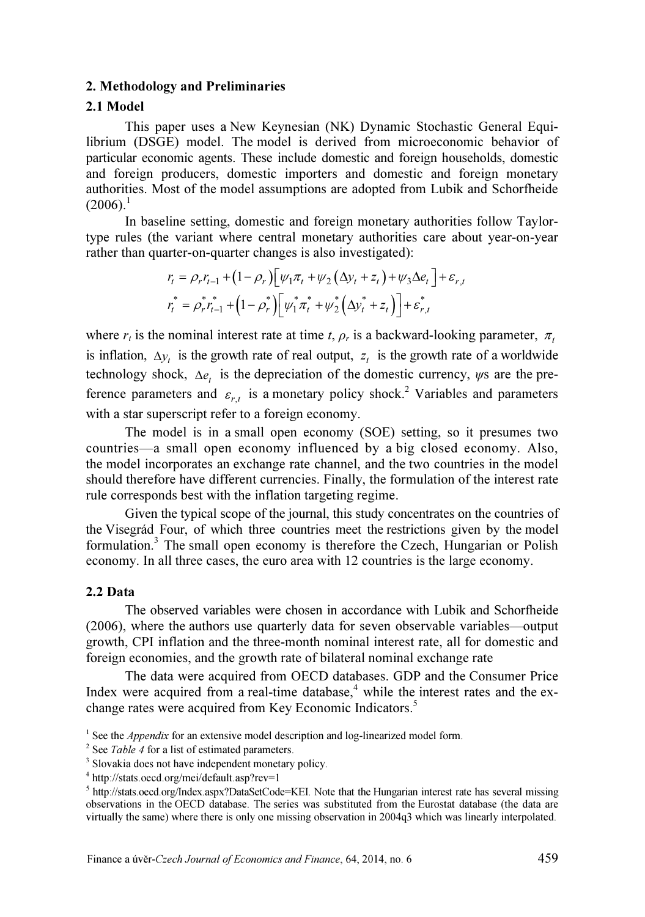#### 2. Methodology and Preliminaries

# 2.1 Model

This paper uses a New Keynesian (NK) Dynamic Stochastic General Equilibrium (DSGE) model. The model is derived from microeconomic behavior of particular economic agents. These include domestic and foreign households, domestic and foreign producers, domestic importers and domestic and foreign monetary authorities. Most of the model assumptions are adopted from Lubik and Schorfheide  $(2006).<sup>1</sup>$ 

In baseline setting, domestic and foreign monetary authorities follow Taylortype rules (the variant where central monetary authorities care about year-on-year rather than quarter-on-quarter changes is also investigated):

$$
r_{t} = \rho_{r} r_{t-1} + (1 - \rho_{r}) \left[ \psi_{1} \pi_{t} + \psi_{2} \left( \Delta y_{t} + z_{t} \right) + \psi_{3} \Delta e_{t} \right] + \varepsilon_{r,t}
$$

$$
r_{t}^{*} = \rho_{r}^{*} r_{t-1}^{*} + (1 - \rho_{r}^{*}) \left[ \psi_{1}^{*} \pi_{t}^{*} + \psi_{2}^{*} \left( \Delta y_{t}^{*} + z_{t} \right) \right] + \varepsilon_{r,t}^{*}
$$

where  $r_t$  is the nominal interest rate at time t,  $\rho_r$  is a backward-looking parameter,  $\pi_t$ is inflation,  $\Delta y_t$  is the growth rate of real output,  $z_t$  is the growth rate of a worldwide technology shock,  $\Delta e_t$  is the depreciation of the domestic currency,  $\psi$ s are the preference parameters and  $\varepsilon_{r,t}$  is a monetary policy shock.<sup>2</sup> Variables and parameters with a star superscript refer to a foreign economy.

The model is in a small open economy (SOE) setting, so it presumes two countries—a small open economy influenced by a big closed economy. Also, the model incorporates an exchange rate channel, and the two countries in the model should therefore have different currencies. Finally, the formulation of the interest rate rule corresponds best with the inflation targeting regime.

Given the typical scope of the journal, this study concentrates on the countries of the Visegrád Four, of which three countries meet the restrictions given by the model formulation.<sup>3</sup> The small open economy is therefore the Czech, Hungarian or Polish economy. In all three cases, the euro area with 12 countries is the large economy.

## 2.2 Data

The observed variables were chosen in accordance with Lubik and Schorfheide (2006), where the authors use quarterly data for seven observable variables—output growth, CPI inflation and the three-month nominal interest rate, all for domestic and foreign economies, and the growth rate of bilateral nominal exchange rate

The data were acquired from OECD databases. GDP and the Consumer Price Index were acquired from a real-time database, $4$  while the interest rates and the exchange rates were acquired from Key Economic Indicators.<sup>5</sup>

<sup>&</sup>lt;sup>1</sup> See the *Appendix* for an extensive model description and log-linearized model form.

 $2$  See Table 4 for a list of estimated parameters.

<sup>&</sup>lt;sup>3</sup> Slovakia does not have independent monetary policy.

<sup>4</sup> http://stats.oecd.org/mei/default.asp?rev=1

<sup>&</sup>lt;sup>5</sup> http://stats.oecd.org/Index.aspx?DataSetCode=KEI. Note that the Hungarian interest rate has several missing observations in the OECD database. The series was substituted from the Eurostat database (the data are virtually the same) where there is only one missing observation in 2004q3 which was linearly interpolated.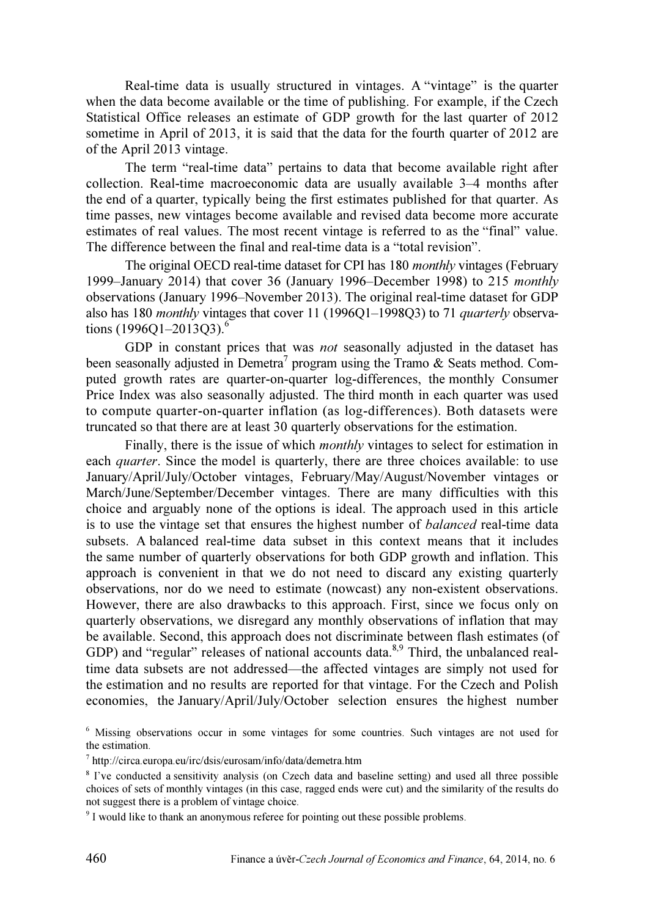Real-time data is usually structured in vintages. A "vintage" is the quarter when the data become available or the time of publishing. For example, if the Czech Statistical Office releases an estimate of GDP growth for the last quarter of 2012 sometime in April of 2013, it is said that the data for the fourth quarter of 2012 are of the April 2013 vintage.

The term "real-time data" pertains to data that become available right after collection. Real-time macroeconomic data are usually available 3–4 months after the end of a quarter, typically being the first estimates published for that quarter. As time passes, new vintages become available and revised data become more accurate estimates of real values. The most recent vintage is referred to as the "final" value. The difference between the final and real-time data is a "total revision".

The original OECD real-time dataset for CPI has 180 *monthly* vintages (February 1999–January 2014) that cover 36 (January 1996–December 1998) to 215 monthly observations (January 1996–November 2013). The original real-time dataset for GDP also has 180 monthly vintages that cover 11 (1996Q1-1998Q3) to 71 quarterly observations  $(1996Q1 - 2013Q3).$ <sup>6</sup>

GDP in constant prices that was not seasonally adjusted in the dataset has been seasonally adjusted in Demetra<sup>7</sup> program using the Tramo & Seats method. Computed growth rates are quarter-on-quarter log-differences, the monthly Consumer Price Index was also seasonally adjusted. The third month in each quarter was used to compute quarter-on-quarter inflation (as log-differences). Both datasets were truncated so that there are at least 30 quarterly observations for the estimation.

Finally, there is the issue of which *monthly* vintages to select for estimation in each *quarter*. Since the model is quarterly, there are three choices available: to use January/April/July/October vintages, February/May/August/November vintages or March/June/September/December vintages. There are many difficulties with this choice and arguably none of the options is ideal. The approach used in this article is to use the vintage set that ensures the highest number of *balanced* real-time data subsets. A balanced real-time data subset in this context means that it includes the same number of quarterly observations for both GDP growth and inflation. This approach is convenient in that we do not need to discard any existing quarterly observations, nor do we need to estimate (nowcast) any non-existent observations. However, there are also drawbacks to this approach. First, since we focus only on quarterly observations, we disregard any monthly observations of inflation that may be available. Second, this approach does not discriminate between flash estimates (of GDP) and "regular" releases of national accounts data. $8.9$  Third, the unbalanced realtime data subsets are not addressed—the affected vintages are simply not used for the estimation and no results are reported for that vintage. For the Czech and Polish economies, the January/April/July/October selection ensures the highest number

<sup>6</sup> Missing observations occur in some vintages for some countries. Such vintages are not used for the estimation.

<sup>7</sup> http://circa.europa.eu/irc/dsis/eurosam/info/data/demetra.htm

<sup>&</sup>lt;sup>8</sup> I've conducted a sensitivity analysis (on Czech data and baseline setting) and used all three possible choices of sets of monthly vintages (in this case, ragged ends were cut) and the similarity of the results do not suggest there is a problem of vintage choice.

<sup>&</sup>lt;sup>9</sup> I would like to thank an anonymous referee for pointing out these possible problems.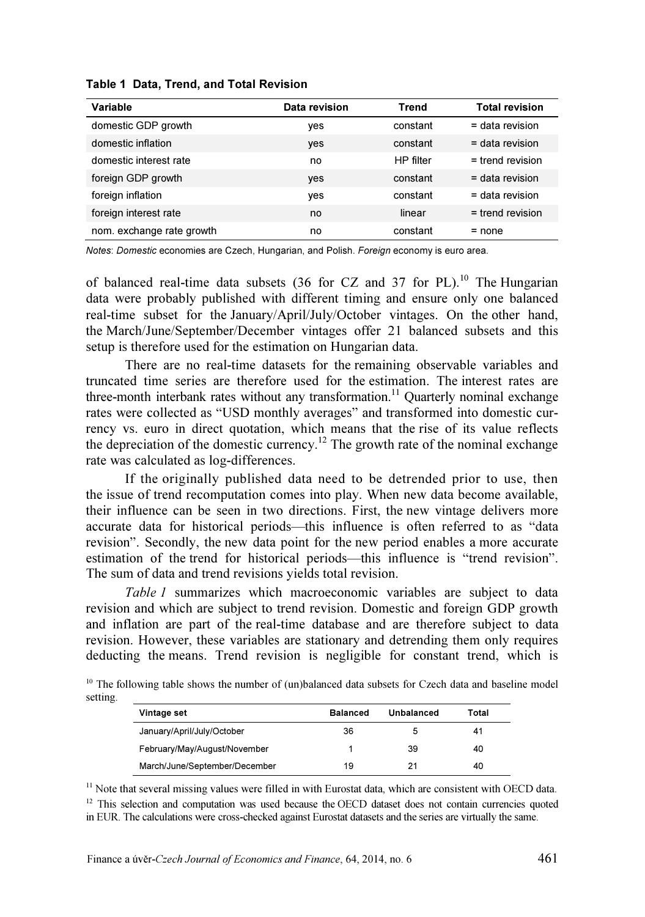| Variable                  | Data revision | Trend     | <b>Total revision</b> |
|---------------------------|---------------|-----------|-----------------------|
| domestic GDP growth       | yes           | constant  | $=$ data revision     |
| domestic inflation        | yes           | constant  | $=$ data revision     |
| domestic interest rate    | no            | HP filter | $=$ trend revision    |
| foreign GDP growth        | yes           | constant  | $=$ data revision     |
| foreign inflation         | yes           | constant  | $=$ data revision     |
| foreign interest rate     | no            | linear    | $=$ trend revision    |
| nom. exchange rate growth | no            | constant  | $=$ none              |

Table 1 Data, Trend, and Total Revision

Notes: Domestic economies are Czech, Hungarian, and Polish. Foreign economy is euro area.

of balanced real-time data subsets (36 for CZ and 37 for PL).<sup>10</sup> The Hungarian data were probably published with different timing and ensure only one balanced real-time subset for the January/April/July/October vintages. On the other hand, the March/June/September/December vintages offer 21 balanced subsets and this setup is therefore used for the estimation on Hungarian data.

There are no real-time datasets for the remaining observable variables and truncated time series are therefore used for the estimation. The interest rates are three-month interbank rates without any transformation.<sup>11</sup> Quarterly nominal exchange rates were collected as "USD monthly averages" and transformed into domestic currency vs. euro in direct quotation, which means that the rise of its value reflects the depreciation of the domestic currency.<sup>12</sup> The growth rate of the nominal exchange rate was calculated as log-differences.

If the originally published data need to be detrended prior to use, then the issue of trend recomputation comes into play. When new data become available, their influence can be seen in two directions. First, the new vintage delivers more accurate data for historical periods—this influence is often referred to as "data revision". Secondly, the new data point for the new period enables a more accurate estimation of the trend for historical periods—this influence is "trend revision". The sum of data and trend revisions yields total revision.

Table 1 summarizes which macroeconomic variables are subject to data revision and which are subject to trend revision. Domestic and foreign GDP growth and inflation are part of the real-time database and are therefore subject to data revision. However, these variables are stationary and detrending them only requires deducting the means. Trend revision is negligible for constant trend, which is

<sup>10</sup> The following table shows the number of (un)balanced data subsets for Czech data and baseline model setting.

| Vintage set                   | <b>Balanced</b> | Unbalanced | Total |
|-------------------------------|-----------------|------------|-------|
| January/April/July/October    | 36              |            | 41    |
| February/May/August/November  |                 | 39         | 40    |
| March/June/September/December | 19              | 21         | 40    |

 $<sup>11</sup>$  Note that several missing values were filled in with Eurostat data, which are consistent with OECD data.</sup>

<sup>12</sup> This selection and computation was used because the OECD dataset does not contain currencies quoted in EUR. The calculations were cross-checked against Eurostat datasets and the series are virtually the same.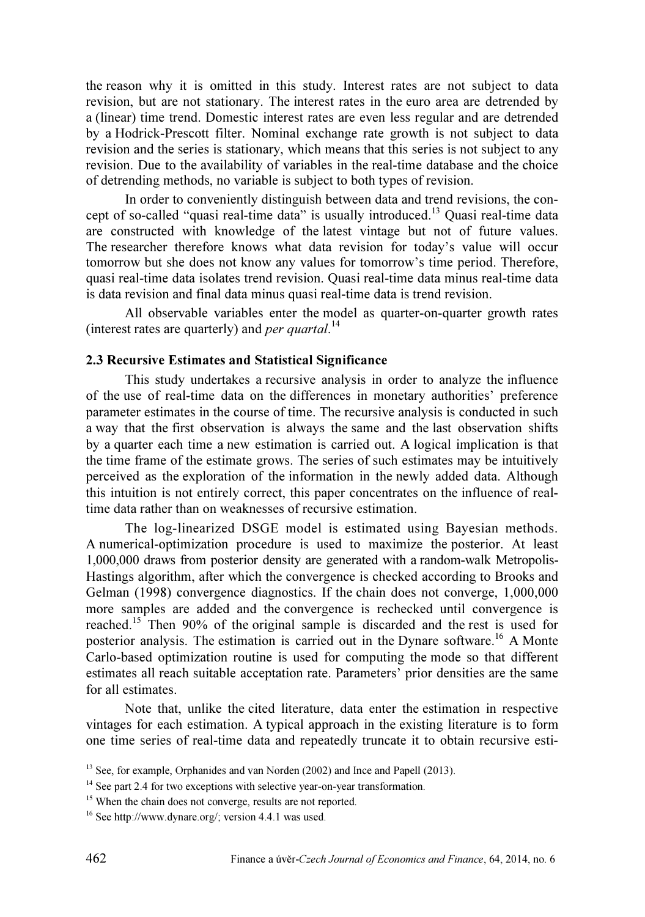the reason why it is omitted in this study. Interest rates are not subject to data revision, but are not stationary. The interest rates in the euro area are detrended by a (linear) time trend. Domestic interest rates are even less regular and are detrended by a Hodrick-Prescott filter. Nominal exchange rate growth is not subject to data revision and the series is stationary, which means that this series is not subject to any revision. Due to the availability of variables in the real-time database and the choice of detrending methods, no variable is subject to both types of revision.

In order to conveniently distinguish between data and trend revisions, the concept of so-called "quasi real-time data" is usually introduced.<sup>13</sup> Quasi real-time data are constructed with knowledge of the latest vintage but not of future values. The researcher therefore knows what data revision for today's value will occur tomorrow but she does not know any values for tomorrow's time period. Therefore, quasi real-time data isolates trend revision. Quasi real-time data minus real-time data is data revision and final data minus quasi real-time data is trend revision.

All observable variables enter the model as quarter-on-quarter growth rates (interest rates are quarterly) and *per quartal*.<sup>14</sup>

## 2.3 Recursive Estimates and Statistical Significance

This study undertakes a recursive analysis in order to analyze the influence of the use of real-time data on the differences in monetary authorities' preference parameter estimates in the course of time. The recursive analysis is conducted in such a way that the first observation is always the same and the last observation shifts by a quarter each time a new estimation is carried out. A logical implication is that the time frame of the estimate grows. The series of such estimates may be intuitively perceived as the exploration of the information in the newly added data. Although this intuition is not entirely correct, this paper concentrates on the influence of realtime data rather than on weaknesses of recursive estimation.

The log-linearized DSGE model is estimated using Bayesian methods. A numerical-optimization procedure is used to maximize the posterior. At least 1,000,000 draws from posterior density are generated with a random-walk Metropolis-Hastings algorithm, after which the convergence is checked according to Brooks and Gelman (1998) convergence diagnostics. If the chain does not converge, 1,000,000 more samples are added and the convergence is rechecked until convergence is reached.<sup>15</sup> Then 90% of the original sample is discarded and the rest is used for posterior analysis. The estimation is carried out in the Dynare software.<sup>16</sup> A Monte Carlo-based optimization routine is used for computing the mode so that different estimates all reach suitable acceptation rate. Parameters' prior densities are the same for all estimates.

Note that, unlike the cited literature, data enter the estimation in respective vintages for each estimation. A typical approach in the existing literature is to form one time series of real-time data and repeatedly truncate it to obtain recursive esti-

<sup>&</sup>lt;sup>13</sup> See, for example, Orphanides and van Norden (2002) and Ince and Papell (2013).

<sup>&</sup>lt;sup>14</sup> See part 2.4 for two exceptions with selective year-on-year transformation.

<sup>&</sup>lt;sup>15</sup> When the chain does not converge, results are not reported.

<sup>16</sup> See http://www.dynare.org/; version 4.4.1 was used.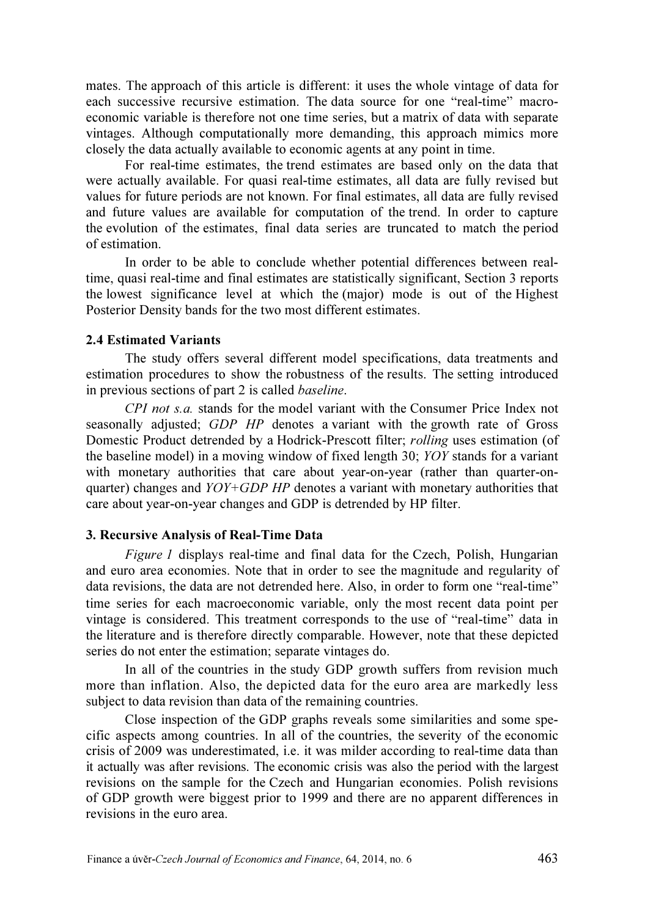mates. The approach of this article is different: it uses the whole vintage of data for each successive recursive estimation. The data source for one "real-time" macroeconomic variable is therefore not one time series, but a matrix of data with separate vintages. Although computationally more demanding, this approach mimics more closely the data actually available to economic agents at any point in time.

For real-time estimates, the trend estimates are based only on the data that were actually available. For quasi real-time estimates, all data are fully revised but values for future periods are not known. For final estimates, all data are fully revised and future values are available for computation of the trend. In order to capture the evolution of the estimates, final data series are truncated to match the period of estimation.

In order to be able to conclude whether potential differences between realtime, quasi real-time and final estimates are statistically significant, Section 3 reports the lowest significance level at which the (major) mode is out of the Highest Posterior Density bands for the two most different estimates.

## 2.4 Estimated Variants

The study offers several different model specifications, data treatments and estimation procedures to show the robustness of the results. The setting introduced in previous sections of part 2 is called baseline.

CPI not s.a. stands for the model variant with the Consumer Price Index not seasonally adjusted; GDP HP denotes a variant with the growth rate of Gross Domestic Product detrended by a Hodrick-Prescott filter; rolling uses estimation (of the baseline model) in a moving window of fixed length 30; YOY stands for a variant with monetary authorities that care about year-on-year (rather than quarter-onquarter) changes and  $YOY+GDP$  HP denotes a variant with monetary authorities that care about year-on-year changes and GDP is detrended by HP filter.

## 3. Recursive Analysis of Real-Time Data

Figure 1 displays real-time and final data for the Czech, Polish, Hungarian and euro area economies. Note that in order to see the magnitude and regularity of data revisions, the data are not detrended here. Also, in order to form one "real-time" time series for each macroeconomic variable, only the most recent data point per vintage is considered. This treatment corresponds to the use of "real-time" data in the literature and is therefore directly comparable. However, note that these depicted series do not enter the estimation; separate vintages do.

In all of the countries in the study GDP growth suffers from revision much more than inflation. Also, the depicted data for the euro area are markedly less subject to data revision than data of the remaining countries.

Close inspection of the GDP graphs reveals some similarities and some specific aspects among countries. In all of the countries, the severity of the economic crisis of 2009 was underestimated, i.e. it was milder according to real-time data than it actually was after revisions. The economic crisis was also the period with the largest revisions on the sample for the Czech and Hungarian economies. Polish revisions of GDP growth were biggest prior to 1999 and there are no apparent differences in revisions in the euro area.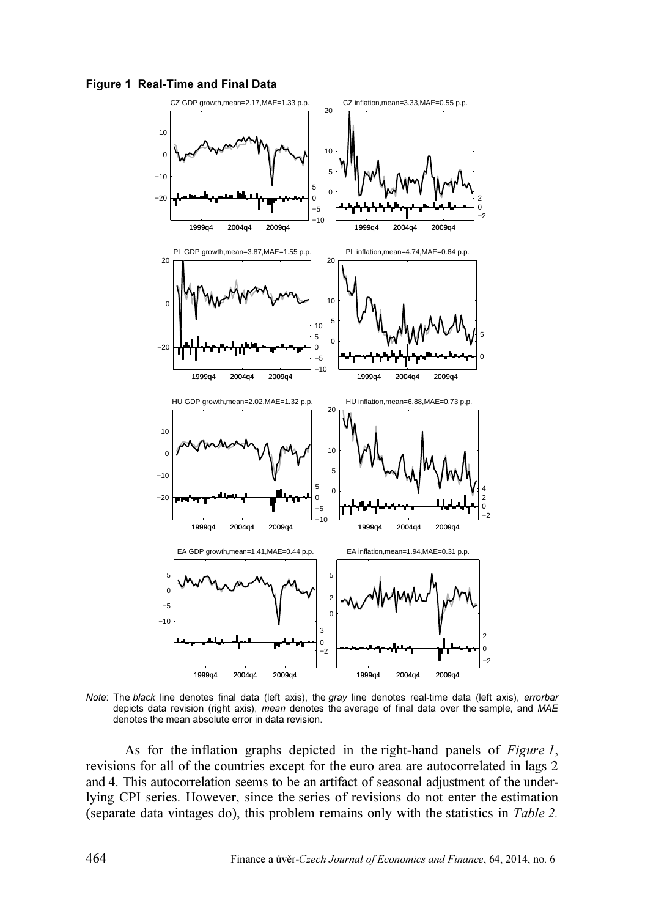



Note: The black line denotes final data (left axis), the gray line denotes real-time data (left axis), errorbar depicts data revision (right axis), mean denotes the average of final data over the sample, and MAE denotes the mean absolute error in data revision.

As for the inflation graphs depicted in the right-hand panels of Figure 1, revisions for all of the countries except for the euro area are autocorrelated in lags 2 and 4. This autocorrelation seems to be an artifact of seasonal adjustment of the underlying CPI series. However, since the series of revisions do not enter the estimation (separate data vintages do), this problem remains only with the statistics in Table 2.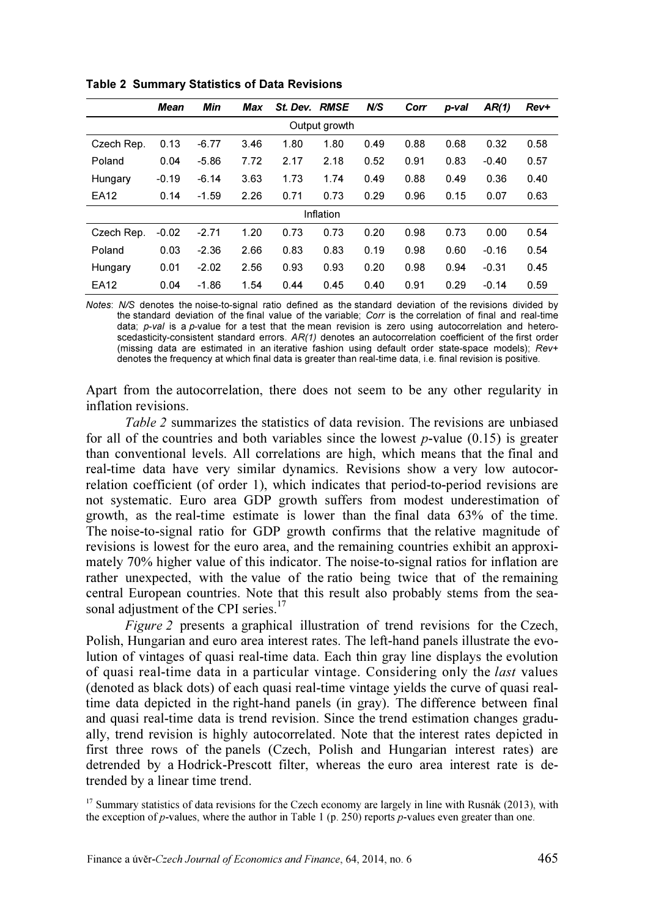|               | Mean    | Min     | Max  | St. Dev. RMSE |           | N/S  | Corr | p-val | AR(1)   | Rev+ |
|---------------|---------|---------|------|---------------|-----------|------|------|-------|---------|------|
| Output growth |         |         |      |               |           |      |      |       |         |      |
| Czech Rep.    | 0.13    | $-6.77$ | 3.46 | 1.80          | 1.80      | 0.49 | 0.88 | 0.68  | 0.32    | 0.58 |
| Poland        | 0.04    | $-5.86$ | 7.72 | 2.17          | 2.18      | 0.52 | 0.91 | 0.83  | $-0.40$ | 0.57 |
| Hungary       | $-0.19$ | $-6.14$ | 3.63 | 1.73          | 1.74      | 0.49 | 0.88 | 0.49  | 0.36    | 0.40 |
| EA12          | 0.14    | $-1.59$ | 2.26 | 0.71          | 0.73      | 0.29 | 0.96 | 0.15  | 0.07    | 0.63 |
|               |         |         |      |               | Inflation |      |      |       |         |      |
| Czech Rep.    | $-0.02$ | $-2.71$ | 1.20 | 0.73          | 0.73      | 0.20 | 0.98 | 0.73  | 0.00    | 0.54 |
| Poland        | 0.03    | $-2.36$ | 2.66 | 0.83          | 0.83      | 0.19 | 0.98 | 0.60  | $-0.16$ | 0.54 |
| Hungary       | 0.01    | $-2.02$ | 2.56 | 0.93          | 0.93      | 0.20 | 0.98 | 0.94  | $-0.31$ | 0.45 |
| EA12          | 0.04    | $-1.86$ | 1.54 | 0.44          | 0.45      | 0.40 | 0.91 | 0.29  | $-0.14$ | 0.59 |

Table 2 Summary Statistics of Data Revisions

Notes: N/S denotes the noise-to-signal ratio defined as the standard deviation of the revisions divided by the standard deviation of the final value of the variable; Corr is the correlation of final and real-time data;  $p\n-val$  is a p-value for a test that the mean revision is zero using autocorrelation and heteroscedasticity-consistent standard errors. AR(1) denotes an autocorrelation coefficient of the first order (missing data are estimated in an iterative fashion using default order state-space models); Rev+ denotes the frequency at which final data is greater than real-time data, i.e. final revision is positive.

Apart from the autocorrelation, there does not seem to be any other regularity in inflation revisions.

Table 2 summarizes the statistics of data revision. The revisions are unbiased for all of the countries and both variables since the lowest  $p$ -value (0.15) is greater than conventional levels. All correlations are high, which means that the final and real-time data have very similar dynamics. Revisions show a very low autocorrelation coefficient (of order 1), which indicates that period-to-period revisions are not systematic. Euro area GDP growth suffers from modest underestimation of growth, as the real-time estimate is lower than the final data 63% of the time. The noise-to-signal ratio for GDP growth confirms that the relative magnitude of revisions is lowest for the euro area, and the remaining countries exhibit an approximately 70% higher value of this indicator. The noise-to-signal ratios for inflation are rather unexpected, with the value of the ratio being twice that of the remaining central European countries. Note that this result also probably stems from the seasonal adjustment of the CPI series.<sup>17</sup>

Figure 2 presents a graphical illustration of trend revisions for the Czech, Polish, Hungarian and euro area interest rates. The left-hand panels illustrate the evolution of vintages of quasi real-time data. Each thin gray line displays the evolution of quasi real-time data in a particular vintage. Considering only the last values (denoted as black dots) of each quasi real-time vintage yields the curve of quasi realtime data depicted in the right-hand panels (in gray). The difference between final and quasi real-time data is trend revision. Since the trend estimation changes gradually, trend revision is highly autocorrelated. Note that the interest rates depicted in first three rows of the panels (Czech, Polish and Hungarian interest rates) are detrended by a Hodrick-Prescott filter, whereas the euro area interest rate is detrended by a linear time trend.

<sup>17</sup> Summary statistics of data revisions for the Czech economy are largely in line with Rusnák (2013), with the exception of p-values, where the author in Table 1 (p. 250) reports p-values even greater than one.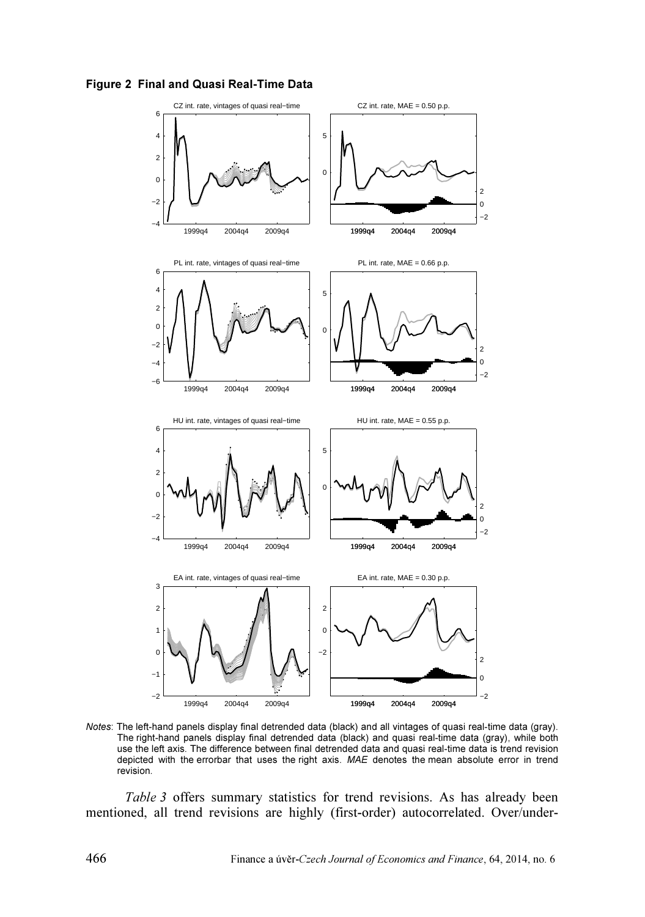



Notes: The left-hand panels display final detrended data (black) and all vintages of quasi real-time data (gray). The right-hand panels display final detrended data (black) and quasi real-time data (gray), while both use the left axis. The difference between final detrended data and quasi real-time data is trend revision depicted with the errorbar that uses the right axis. MAE denotes the mean absolute error in trend revision.

Table 3 offers summary statistics for trend revisions. As has already been mentioned, all trend revisions are highly (first-order) autocorrelated. Over/under-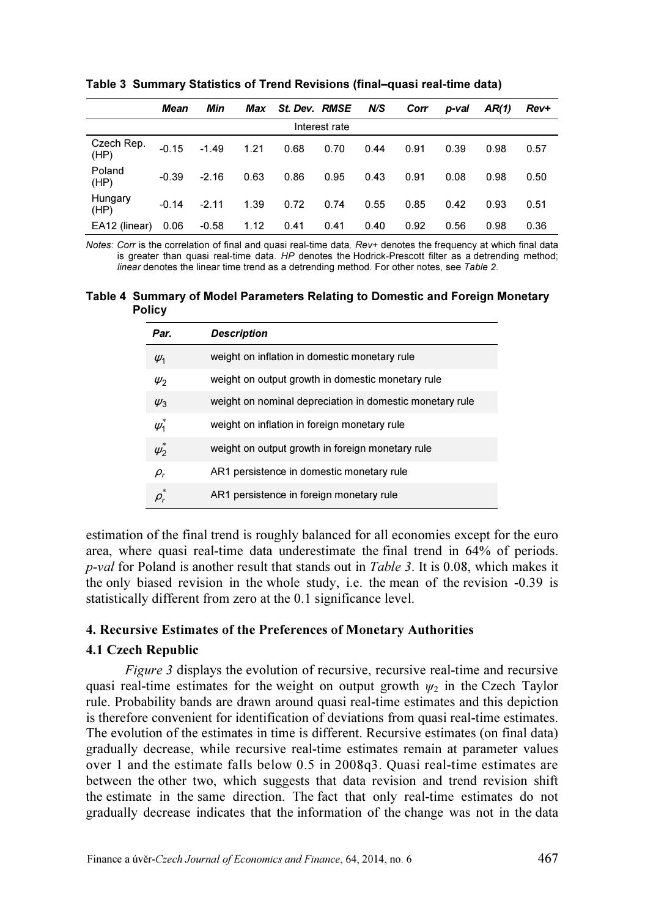|                    | Mean    | Min     | Max  | St. Dev. RMSE |      | N/S  | Corr | p-val | AR(1) | Rev+ |
|--------------------|---------|---------|------|---------------|------|------|------|-------|-------|------|
| Interest rate      |         |         |      |               |      |      |      |       |       |      |
| Czech Rep.<br>(HP) | $-0.15$ | $-1.49$ | 1.21 | 0.68          | 0.70 | 0.44 | 0.91 | 0.39  | 0.98  | 0.57 |
| Poland<br>(HP)     | $-0.39$ | $-2.16$ | 0.63 | 0.86          | 0.95 | 0.43 | 0.91 | 0.08  | 0.98  | 0.50 |
| Hungary<br>(HP)    | $-0.14$ | $-2.11$ | 1.39 | 0.72          | 0.74 | 0.55 | 0.85 | 0.42  | 0.93  | 0.51 |
| EA12 (linear)      | 0.06    | $-0.58$ | 1.12 | 0.41          | 0.41 | 0.40 | 0.92 | 0.56  | 0.98  | 0.36 |

Table 3 Summary Statistics of Trend Revisions (final–quasi real-time data)

Notes: Corr is the correlation of final and quasi real-time data, Rev+ denotes the frequency at which final data is greater than quasi real-time data. HP denotes the Hodrick-Prescott filter as a detrending method; linear denotes the linear time trend as a detrending method. For other notes, see Table 2.

Table 4 Summary of Model Parameters Relating to Domestic and Foreign Monetary Policy

| Par.          | <b>Description</b>                                       |
|---------------|----------------------------------------------------------|
| $\psi_1$      | weight on inflation in domestic monetary rule            |
| $\psi_2$      | weight on output growth in domestic monetary rule        |
| $\psi_3$      | weight on nominal depreciation in domestic monetary rule |
| $\psi_1^*$    | weight on inflation in foreign monetary rule             |
| $\psi_2^*$    | weight on output growth in foreign monetary rule         |
| $\rho_r$      | AR1 persistence in domestic monetary rule                |
| $\rho^\ast_r$ | AR1 persistence in foreign monetary rule                 |

estimation of the final trend is roughly balanced for all economies except for the euro area, where quasi real-time data underestimate the final trend in 64% of periods. p-val for Poland is another result that stands out in Table 3. It is 0.08, which makes it the only biased revision in the whole study, i.e. the mean of the revision -0.39 is statistically different from zero at the 0.1 significance level.

## 4. Recursive Estimates of the Preferences of Monetary Authorities

## 4.1 Czech Republic

Figure 3 displays the evolution of recursive, recursive real-time and recursive quasi real-time estimates for the weight on output growth  $\psi_2$  in the Czech Taylor rule. Probability bands are drawn around quasi real-time estimates and this depiction is therefore convenient for identification of deviations from quasi real-time estimates. The evolution of the estimates in time is different. Recursive estimates (on final data) gradually decrease, while recursive real-time estimates remain at parameter values over 1 and the estimate falls below 0.5 in 2008q3. Quasi real-time estimates are between the other two, which suggests that data revision and trend revision shift the estimate in the same direction. The fact that only real-time estimates do not gradually decrease indicates that the information of the change was not in the data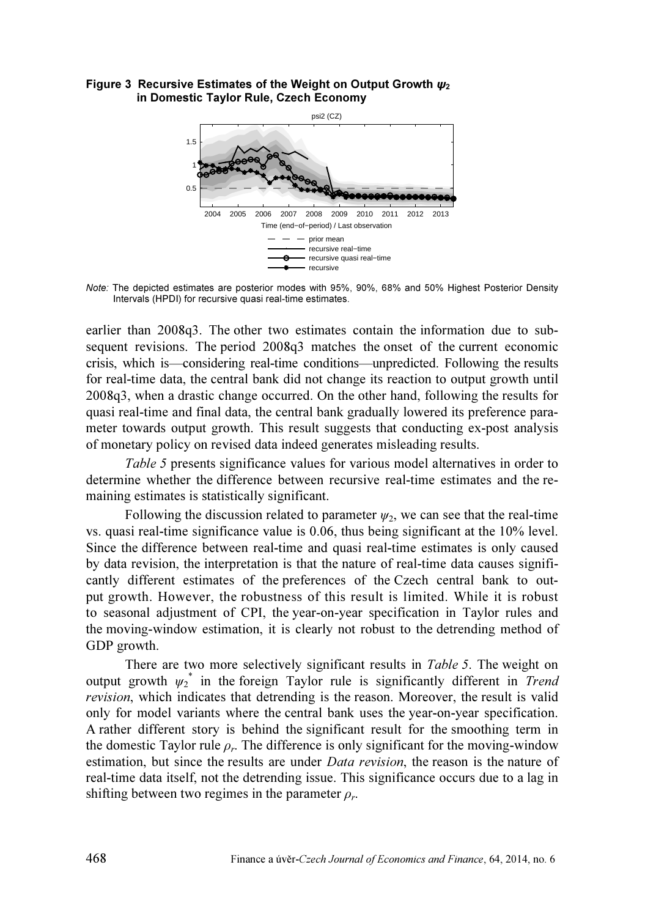#### Figure 3 Recursive Estimates of the Weight on Output Growth  $\psi_2$ in Domestic Taylor Rule, Czech Economy



Note: The depicted estimates are posterior modes with 95%, 90%, 68% and 50% Highest Posterior Density Intervals (HPDI) for recursive quasi real-time estimates.

earlier than 2008q3. The other two estimates contain the information due to subsequent revisions. The period 2008q3 matches the onset of the current economic crisis, which is—considering real-time conditions—unpredicted. Following the results for real-time data, the central bank did not change its reaction to output growth until 2008q3, when a drastic change occurred. On the other hand, following the results for quasi real-time and final data, the central bank gradually lowered its preference parameter towards output growth. This result suggests that conducting ex-post analysis of monetary policy on revised data indeed generates misleading results.

Table 5 presents significance values for various model alternatives in order to determine whether the difference between recursive real-time estimates and the remaining estimates is statistically significant.

Following the discussion related to parameter  $\psi_2$ , we can see that the real-time vs. quasi real-time significance value is 0.06, thus being significant at the 10% level. Since the difference between real-time and quasi real-time estimates is only caused by data revision, the interpretation is that the nature of real-time data causes significantly different estimates of the preferences of the Czech central bank to output growth. However, the robustness of this result is limited. While it is robust to seasonal adjustment of CPI, the year-on-year specification in Taylor rules and the moving-window estimation, it is clearly not robust to the detrending method of GDP growth.

There are two more selectively significant results in Table 5. The weight on output growth  $\psi_2^*$  in the foreign Taylor rule is significantly different in Trend revision, which indicates that detrending is the reason. Moreover, the result is valid only for model variants where the central bank uses the year-on-year specification. A rather different story is behind the significant result for the smoothing term in the domestic Taylor rule  $\rho_r$ . The difference is only significant for the moving-window estimation, but since the results are under *Data revision*, the reason is the nature of real-time data itself, not the detrending issue. This significance occurs due to a lag in shifting between two regimes in the parameter  $\rho_r$ .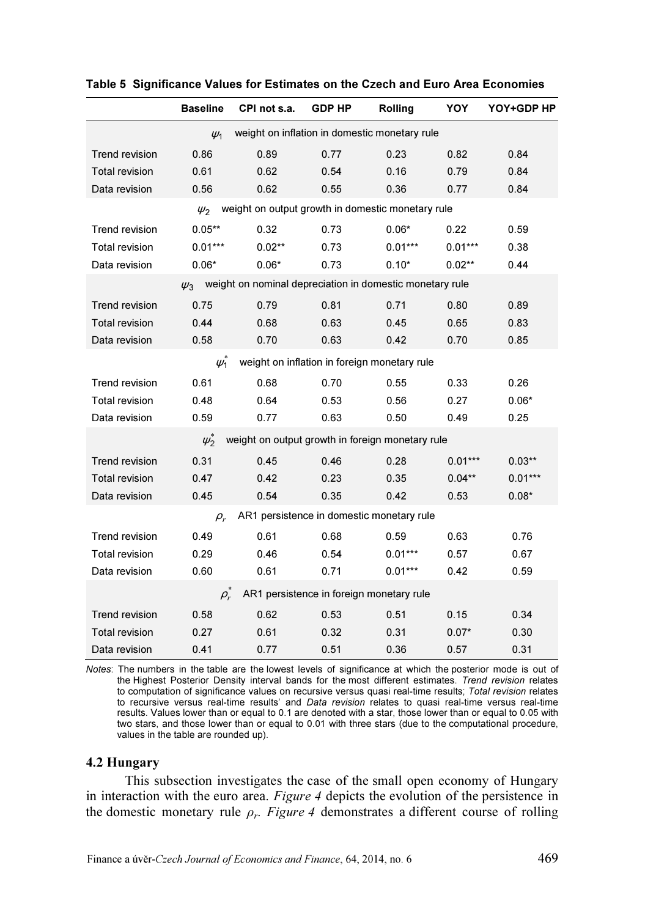|                       | <b>Baseline</b>                                                      | CPI not s.a. | <b>GDP HP</b> | Rolling                                          | YOY       | YOY+GDP HP |  |  |  |  |  |
|-----------------------|----------------------------------------------------------------------|--------------|---------------|--------------------------------------------------|-----------|------------|--|--|--|--|--|
|                       | weight on inflation in domestic monetary rule<br>$\psi_1$            |              |               |                                                  |           |            |  |  |  |  |  |
| <b>Trend revision</b> | 0.86                                                                 | 0.89         | 0.77          | 0.23                                             | 0.82      | 0.84       |  |  |  |  |  |
| <b>Total revision</b> | 0.61                                                                 | 0.62         | 0.54          | 0.16                                             | 0.79      | 0.84       |  |  |  |  |  |
| Data revision         | 0.56                                                                 | 0.62         | 0.55          | 0.36                                             | 0.77      | 0.84       |  |  |  |  |  |
|                       | weight on output growth in domestic monetary rule<br>$\psi_2$        |              |               |                                                  |           |            |  |  |  |  |  |
| <b>Trend revision</b> | $0.05**$                                                             | 0.32         | 0.73          | $0.06*$                                          | 0.22      | 0.59       |  |  |  |  |  |
| <b>Total revision</b> | $0.01***$                                                            | $0.02**$     | 0.73          | $0.01***$                                        | $0.01***$ | 0.38       |  |  |  |  |  |
| Data revision         | $0.06*$                                                              | $0.06*$      | 0.73          | $0.10*$                                          | $0.02**$  | 0.44       |  |  |  |  |  |
|                       | weight on nominal depreciation in domestic monetary rule<br>$\psi_3$ |              |               |                                                  |           |            |  |  |  |  |  |
| <b>Trend revision</b> | 0.75                                                                 | 0.79         | 0.81          | 0.71                                             | 0.80      | 0.89       |  |  |  |  |  |
| <b>Total revision</b> | 0.44                                                                 | 0.68         | 0.63          | 0.45                                             | 0.65      | 0.83       |  |  |  |  |  |
| Data revision         | 0.58                                                                 | 0.70         | 0.63          | 0.42                                             | 0.70      | 0.85       |  |  |  |  |  |
|                       | $\psi_1$                                                             |              |               | weight on inflation in foreign monetary rule     |           |            |  |  |  |  |  |
| Trend revision        | 0.61                                                                 | 0.68         | 0.70          | 0.55                                             | 0.33      | 0.26       |  |  |  |  |  |
| <b>Total revision</b> | 0.48                                                                 | 0.64         | 0.53          | 0.56                                             | 0.27      | $0.06*$    |  |  |  |  |  |
| Data revision         | 0.59                                                                 | 0.77         | 0.63          | 0.50                                             | 0.49      | 0.25       |  |  |  |  |  |
|                       | $\psi_2^*$                                                           |              |               | weight on output growth in foreign monetary rule |           |            |  |  |  |  |  |
| <b>Trend revision</b> | 0.31                                                                 | 0.45         | 0.46          | 0.28                                             | $0.01***$ | $0.03**$   |  |  |  |  |  |
| <b>Total revision</b> | 0.47                                                                 | 0.42         | 0.23          | 0.35                                             | $0.04**$  | $0.01***$  |  |  |  |  |  |
| Data revision         | 0.45                                                                 | 0.54         | 0.35          | 0.42                                             | 0.53      | $0.08*$    |  |  |  |  |  |
|                       | $\rho_r$                                                             |              |               | AR1 persistence in domestic monetary rule        |           |            |  |  |  |  |  |
| <b>Trend revision</b> | 0.49                                                                 | 0.61         | 0.68          | 0.59                                             | 0.63      | 0.76       |  |  |  |  |  |
| Total revision        | 0.29                                                                 | 0.46         | 0.54          | $0.01***$                                        | 0.57      | 0.67       |  |  |  |  |  |
| Data revision         | 0.60                                                                 | 0.61         | 0.71          | $0.01***$                                        | 0.42      | 0.59       |  |  |  |  |  |
|                       | $\rho_r$                                                             |              |               | AR1 persistence in foreign monetary rule         |           |            |  |  |  |  |  |
| <b>Trend revision</b> | 0.58                                                                 | 0.62         | 0.53          | 0.51                                             | 0.15      | 0.34       |  |  |  |  |  |
| <b>Total revision</b> | 0.27                                                                 | 0.61         | 0.32          | 0.31                                             | $0.07*$   | 0.30       |  |  |  |  |  |
| Data revision         | 0.41                                                                 | 0.77         | 0.51          | 0.36                                             | 0.57      | 0.31       |  |  |  |  |  |

## Table 5 Significance Values for Estimates on the Czech and Euro Area Economies

Notes: The numbers in the table are the lowest levels of significance at which the posterior mode is out of the Highest Posterior Density interval bands for the most different estimates. Trend revision relates to computation of significance values on recursive versus quasi real-time results; Total revision relates to recursive versus real-time results' and Data revision relates to quasi real-time versus real-time results. Values lower than or equal to 0.1 are denoted with a star, those lower than or equal to 0.05 with two stars, and those lower than or equal to 0.01 with three stars (due to the computational procedure, values in the table are rounded up).

#### 4.2 Hungary

This subsection investigates the case of the small open economy of Hungary in interaction with the euro area. Figure 4 depicts the evolution of the persistence in the domestic monetary rule  $\rho_r$ . Figure 4 demonstrates a different course of rolling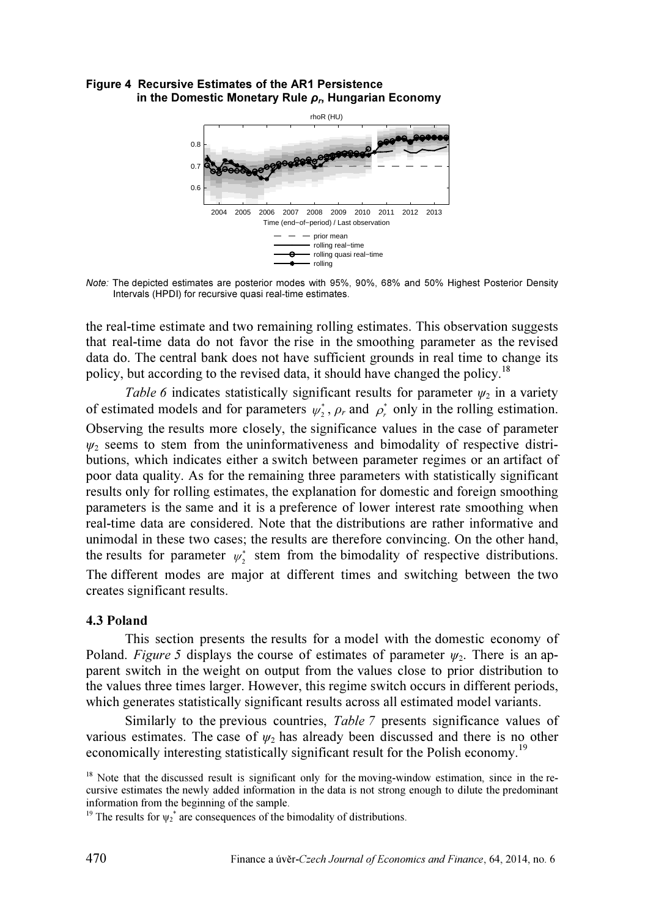#### Figure 4 Recursive Estimates of the AR1 Persistence in the Domestic Monetary Rule  $\rho_r$ , Hungarian Economy



Note: The depicted estimates are posterior modes with 95%, 90%, 68% and 50% Highest Posterior Density Intervals (HPDI) for recursive quasi real-time estimates.

the real-time estimate and two remaining rolling estimates. This observation suggests that real-time data do not favor the rise in the smoothing parameter as the revised data do. The central bank does not have sufficient grounds in real time to change its policy, but according to the revised data, it should have changed the policy.<sup>18</sup>

Table 6 indicates statistically significant results for parameter  $\psi_2$  in a variety of estimated models and for parameters  $\psi_2^*$ ,  $\rho_r$  and  $\rho_r^*$  only in the rolling estimation. Observing the results more closely, the significance values in the case of parameter  $\psi_2$  seems to stem from the uninformativeness and bimodality of respective distributions, which indicates either a switch between parameter regimes or an artifact of poor data quality. As for the remaining three parameters with statistically significant results only for rolling estimates, the explanation for domestic and foreign smoothing parameters is the same and it is a preference of lower interest rate smoothing when real-time data are considered. Note that the distributions are rather informative and unimodal in these two cases; the results are therefore convincing. On the other hand, the results for parameter  $\psi_2^*$  stem from the bimodality of respective distributions. The different modes are major at different times and switching between the two creates significant results.

# 4.3 Poland

This section presents the results for a model with the domestic economy of Poland. Figure 5 displays the course of estimates of parameter  $\psi_2$ . There is an apparent switch in the weight on output from the values close to prior distribution to the values three times larger. However, this regime switch occurs in different periods, which generates statistically significant results across all estimated model variants.

Similarly to the previous countries, Table 7 presents significance values of various estimates. The case of  $\psi_2$  has already been discussed and there is no other economically interesting statistically significant result for the Polish economy.<sup>19</sup>

<sup>&</sup>lt;sup>18</sup> Note that the discussed result is significant only for the moving-window estimation, since in the recursive estimates the newly added information in the data is not strong enough to dilute the predominant information from the beginning of the sample.

<sup>&</sup>lt;sup>19</sup> The results for  $\psi_2^*$  are consequences of the bimodality of distributions.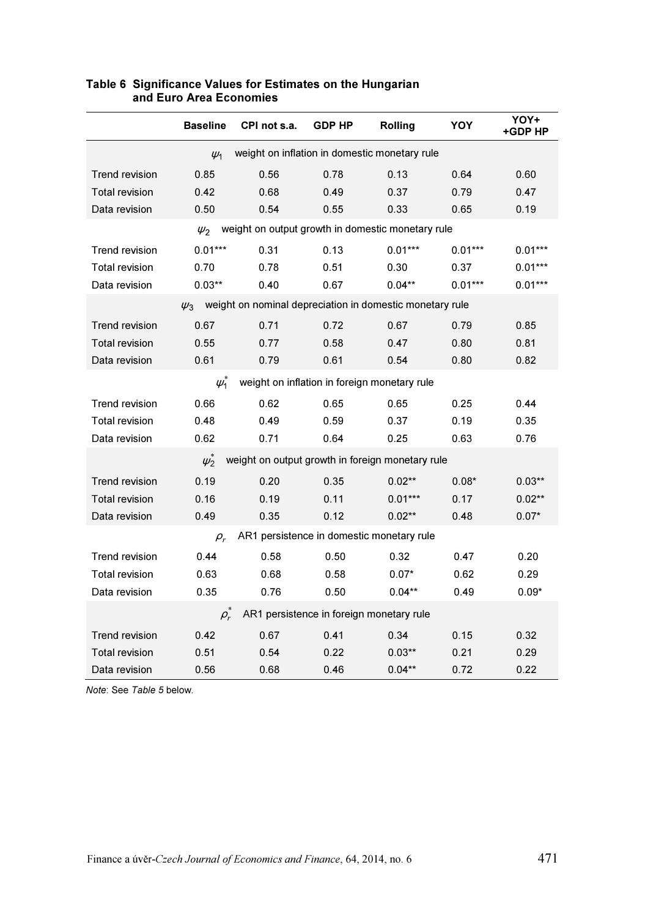|                                                           | <b>Baseline</b>                                               | CPI not s.a.                                             | <b>GDP HP</b> | Rolling                                      | YOY       | YOY+<br>+GDP HP |  |  |  |  |  |
|-----------------------------------------------------------|---------------------------------------------------------------|----------------------------------------------------------|---------------|----------------------------------------------|-----------|-----------------|--|--|--|--|--|
| weight on inflation in domestic monetary rule<br>$\psi_1$ |                                                               |                                                          |               |                                              |           |                 |  |  |  |  |  |
| <b>Trend revision</b>                                     | 0.85                                                          | 0.56                                                     | 0.78          | 0.13                                         | 0.64      | 0.60            |  |  |  |  |  |
| <b>Total revision</b>                                     | 0.42                                                          | 0.68                                                     | 0.49          | 0.37                                         | 0.79      | 0.47            |  |  |  |  |  |
| Data revision                                             | 0.50                                                          | 0.54                                                     | 0.55          | 0.33                                         | 0.65      | 0.19            |  |  |  |  |  |
|                                                           | weight on output growth in domestic monetary rule<br>$\psi_2$ |                                                          |               |                                              |           |                 |  |  |  |  |  |
| <b>Trend revision</b>                                     | $0.01***$                                                     | 0.31                                                     | 0.13          | $0.01***$                                    | $0.01***$ | $0.01***$       |  |  |  |  |  |
| <b>Total revision</b>                                     | 0.70                                                          | 0.78                                                     | 0.51          | 0.30                                         | 0.37      | $0.01***$       |  |  |  |  |  |
| Data revision                                             | $0.03**$                                                      | 0.40                                                     | 0.67          | $0.04**$                                     | $0.01***$ | $0.01***$       |  |  |  |  |  |
|                                                           | $\psi_3$                                                      | weight on nominal depreciation in domestic monetary rule |               |                                              |           |                 |  |  |  |  |  |
| <b>Trend revision</b>                                     | 0.67                                                          | 0.71                                                     | 0.72          | 0.67                                         | 0.79      | 0.85            |  |  |  |  |  |
| <b>Total revision</b>                                     | 0.55                                                          | 0.77                                                     | 0.58          | 0.47                                         | 0.80      | 0.81            |  |  |  |  |  |
| Data revision                                             | 0.61                                                          | 0.79                                                     | 0.61          | 0.54                                         | 0.80      | 0.82            |  |  |  |  |  |
|                                                           | $\mu_1^*$                                                     |                                                          |               | weight on inflation in foreign monetary rule |           |                 |  |  |  |  |  |
| <b>Trend revision</b>                                     | 0.66                                                          | 0.62                                                     | 0.65          | 0.65                                         | 0.25      | 0.44            |  |  |  |  |  |
| <b>Total revision</b>                                     | 0.48                                                          | 0.49                                                     | 0.59          | 0.37                                         | 0.19      | 0.35            |  |  |  |  |  |
| Data revision                                             | 0.62                                                          | 0.71                                                     | 0.64          | 0.25                                         | 0.63      | 0.76            |  |  |  |  |  |
|                                                           | $\psi_2^*$                                                    | weight on output growth in foreign monetary rule         |               |                                              |           |                 |  |  |  |  |  |
| <b>Trend revision</b>                                     | 0.19                                                          | 0.20                                                     | 0.35          | $0.02**$                                     | $0.08*$   | $0.03**$        |  |  |  |  |  |
| <b>Total revision</b>                                     | 0.16                                                          | 0.19                                                     | 0.11          | $0.01***$                                    | 0.17      | $0.02**$        |  |  |  |  |  |
| Data revision                                             | 0.49                                                          | 0.35                                                     | 0.12          | $0.02**$                                     | 0.48      | $0.07*$         |  |  |  |  |  |
|                                                           | $\rho_r$                                                      |                                                          |               | AR1 persistence in domestic monetary rule    |           |                 |  |  |  |  |  |
| <b>Trend revision</b>                                     | 0.44                                                          | 0.58                                                     | 0.50          | 0.32                                         | 0.47      | 0.20            |  |  |  |  |  |
| Total revision                                            | 0.63                                                          | 0.68                                                     | 0.58          | $0.07*$                                      | 0.62      | 0.29            |  |  |  |  |  |
| Data revision                                             | 0.35                                                          | 0.76                                                     | 0.50          | $0.04***$                                    | 0.49      | $0.09*$         |  |  |  |  |  |
| AR1 persistence in foreign monetary rule<br>$\rho_r$      |                                                               |                                                          |               |                                              |           |                 |  |  |  |  |  |
| <b>Trend revision</b>                                     | 0.42                                                          | 0.67                                                     | 0.41          | 0.34                                         | 0.15      | 0.32            |  |  |  |  |  |
| <b>Total revision</b>                                     | 0.51                                                          | 0.54                                                     | 0.22          | $0.03**$                                     | 0.21      | 0.29            |  |  |  |  |  |
| Data revision                                             | 0.56                                                          | 0.68                                                     | 0.46          | $0.04**$                                     | 0.72      | 0.22            |  |  |  |  |  |

#### Table 6 Significance Values for Estimates on the Hungarian and Euro Area Economies

Note: See Table 5 below.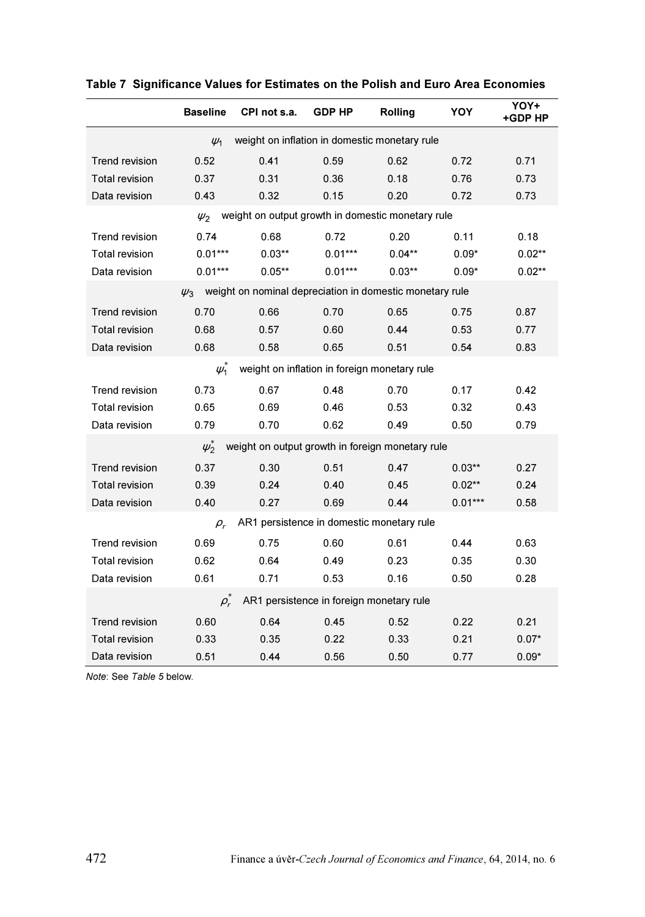|                                                           | <b>Baseline</b>                                               | CPI not s.a.                                             | <b>GDP HP</b> | Rolling                                      | YOY       | YOY+<br>+GDP HP |  |  |  |  |  |
|-----------------------------------------------------------|---------------------------------------------------------------|----------------------------------------------------------|---------------|----------------------------------------------|-----------|-----------------|--|--|--|--|--|
| weight on inflation in domestic monetary rule<br>$\psi_1$ |                                                               |                                                          |               |                                              |           |                 |  |  |  |  |  |
| <b>Trend revision</b>                                     | 0.52                                                          | 0.41                                                     | 0.59          | 0.62                                         | 0.72      | 0.71            |  |  |  |  |  |
| <b>Total revision</b>                                     | 0.37                                                          | 0.31                                                     | 0.36          | 0.18                                         | 0.76      | 0.73            |  |  |  |  |  |
| Data revision                                             | 0.43                                                          | 0.32                                                     | 0.15          | 0.20                                         | 0.72      | 0.73            |  |  |  |  |  |
|                                                           | weight on output growth in domestic monetary rule<br>$\psi_2$ |                                                          |               |                                              |           |                 |  |  |  |  |  |
| <b>Trend revision</b>                                     | 0.74                                                          | 0.68                                                     | 0.72          | 0.20                                         | 0.11      | 0.18            |  |  |  |  |  |
| <b>Total revision</b>                                     | $0.01***$                                                     | $0.03**$                                                 | $0.01***$     | $0.04**$                                     | $0.09*$   | $0.02**$        |  |  |  |  |  |
| Data revision                                             | $0.01***$                                                     | $0.05***$                                                | $0.01***$     | $0.03***$                                    | $0.09*$   | $0.02**$        |  |  |  |  |  |
|                                                           | $\psi_3$                                                      | weight on nominal depreciation in domestic monetary rule |               |                                              |           |                 |  |  |  |  |  |
| <b>Trend revision</b>                                     | 0.70                                                          | 0.66                                                     | 0.70          | 0.65                                         | 0.75      | 0.87            |  |  |  |  |  |
| <b>Total revision</b>                                     | 0.68                                                          | 0.57                                                     | 0.60          | 0.44                                         | 0.53      | 0.77            |  |  |  |  |  |
| Data revision                                             | 0.68                                                          | 0.58                                                     | 0.65          | 0.51                                         | 0.54      | 0.83            |  |  |  |  |  |
|                                                           | $\psi_1^*$                                                    |                                                          |               | weight on inflation in foreign monetary rule |           |                 |  |  |  |  |  |
| <b>Trend revision</b>                                     | 0.73                                                          | 0.67                                                     | 0.48          | 0.70                                         | 0.17      | 0.42            |  |  |  |  |  |
| Total revision                                            | 0.65                                                          | 0.69                                                     | 0.46          | 0.53                                         | 0.32      | 0.43            |  |  |  |  |  |
| Data revision                                             | 0.79                                                          | 0.70                                                     | 0.62          | 0.49                                         | 0.50      | 0.79            |  |  |  |  |  |
|                                                           | $\psi_2^*$                                                    | weight on output growth in foreign monetary rule         |               |                                              |           |                 |  |  |  |  |  |
| <b>Trend revision</b>                                     | 0.37                                                          | 0.30                                                     | 0.51          | 0.47                                         | $0.03**$  | 0.27            |  |  |  |  |  |
| <b>Total revision</b>                                     | 0.39                                                          | 0.24                                                     | 0.40          | 0.45                                         | $0.02**$  | 0.24            |  |  |  |  |  |
| Data revision                                             | 0.40                                                          | 0.27                                                     | 0.69          | 0.44                                         | $0.01***$ | 0.58            |  |  |  |  |  |
|                                                           | $\rho_{r}$                                                    |                                                          |               | AR1 persistence in domestic monetary rule    |           |                 |  |  |  |  |  |
| <b>Trend revision</b>                                     | 0.69                                                          | 0.75                                                     | 0.60          | 0.61                                         | 0.44      | 0.63            |  |  |  |  |  |
| <b>Total revision</b>                                     | 0.62                                                          | 0.64                                                     | 0.49          | 0.23                                         | 0.35      | 0.30            |  |  |  |  |  |
| Data revision                                             | 0.61                                                          | 0.71                                                     | 0.53          | 0.16                                         | 0.50      | 0.28            |  |  |  |  |  |
| AR1 persistence in foreign monetary rule<br>$\rho_r$      |                                                               |                                                          |               |                                              |           |                 |  |  |  |  |  |
| Trend revision                                            | 0.60                                                          | 0.64                                                     | 0.45          | 0.52                                         | 0.22      | 0.21            |  |  |  |  |  |
| <b>Total revision</b>                                     | 0.33                                                          | 0.35                                                     | 0.22          | 0.33                                         | 0.21      | $0.07*$         |  |  |  |  |  |
| Data revision                                             | 0.51                                                          | 0.44                                                     | 0.56          | 0.50                                         | 0.77      | $0.09*$         |  |  |  |  |  |

Note: See Table 5 below.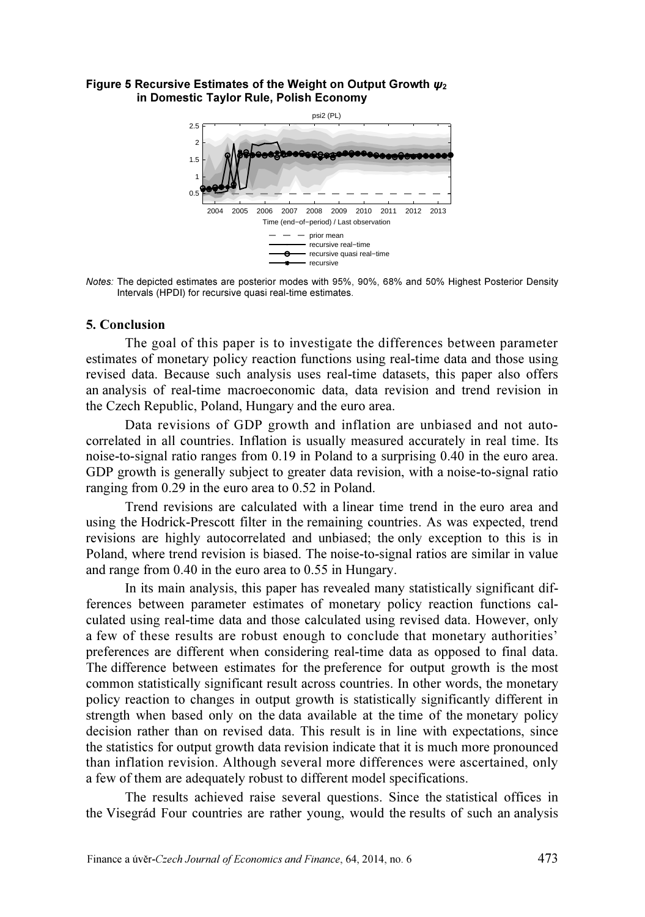#### Figure 5 Recursive Estimates of the Weight on Output Growth  $\psi_2$ in Domestic Taylor Rule, Polish Economy



Notes: The depicted estimates are posterior modes with 95%, 90%, 68% and 50% Highest Posterior Density Intervals (HPDI) for recursive quasi real-time estimates.

#### 5. Conclusion

The goal of this paper is to investigate the differences between parameter estimates of monetary policy reaction functions using real-time data and those using revised data. Because such analysis uses real-time datasets, this paper also offers an analysis of real-time macroeconomic data, data revision and trend revision in the Czech Republic, Poland, Hungary and the euro area.

Data revisions of GDP growth and inflation are unbiased and not autocorrelated in all countries. Inflation is usually measured accurately in real time. Its noise-to-signal ratio ranges from 0.19 in Poland to a surprising 0.40 in the euro area. GDP growth is generally subject to greater data revision, with a noise-to-signal ratio ranging from 0.29 in the euro area to 0.52 in Poland.

Trend revisions are calculated with a linear time trend in the euro area and using the Hodrick-Prescott filter in the remaining countries. As was expected, trend revisions are highly autocorrelated and unbiased; the only exception to this is in Poland, where trend revision is biased. The noise-to-signal ratios are similar in value and range from 0.40 in the euro area to 0.55 in Hungary.

In its main analysis, this paper has revealed many statistically significant differences between parameter estimates of monetary policy reaction functions calculated using real-time data and those calculated using revised data. However, only a few of these results are robust enough to conclude that monetary authorities' preferences are different when considering real-time data as opposed to final data. The difference between estimates for the preference for output growth is the most common statistically significant result across countries. In other words, the monetary policy reaction to changes in output growth is statistically significantly different in strength when based only on the data available at the time of the monetary policy decision rather than on revised data. This result is in line with expectations, since the statistics for output growth data revision indicate that it is much more pronounced than inflation revision. Although several more differences were ascertained, only a few of them are adequately robust to different model specifications.

The results achieved raise several questions. Since the statistical offices in the Visegrád Four countries are rather young, would the results of such an analysis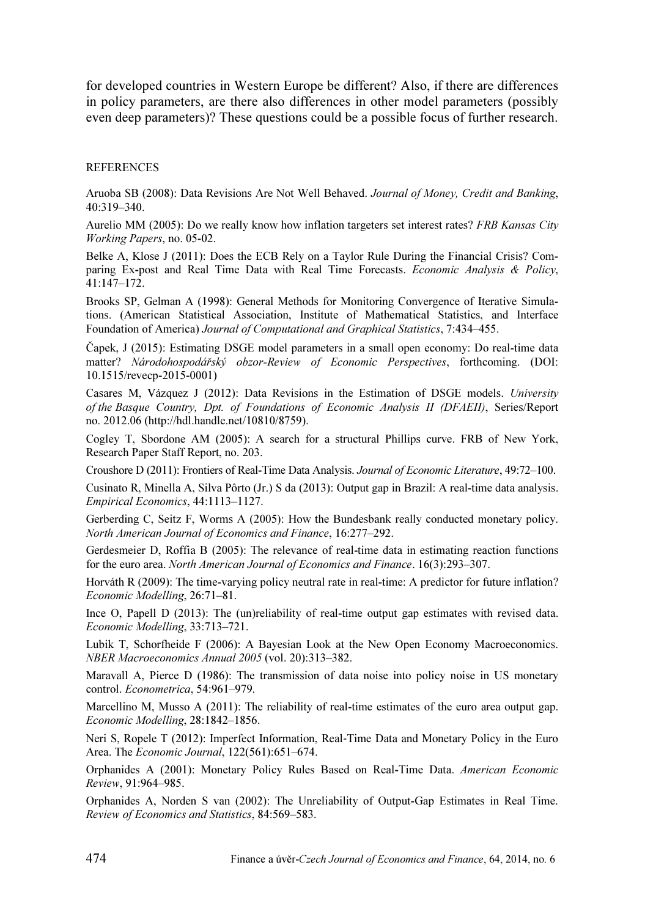for developed countries in Western Europe be different? Also, if there are differences in policy parameters, are there also differences in other model parameters (possibly even deep parameters)? These questions could be a possible focus of further research.

#### **REFERENCES**

Aruoba SB (2008): Data Revisions Are Not Well Behaved. Journal of Money, Credit and Banking, 40:319–340.

Aurelio MM (2005): Do we really know how inflation targeters set interest rates? FRB Kansas City Working Papers, no. 05-02.

Belke A, Klose J (2011): Does the ECB Rely on a Taylor Rule During the Financial Crisis? Comparing Ex-post and Real Time Data with Real Time Forecasts. Economic Analysis & Policy, 41:147–172.

Brooks SP, Gelman A (1998): General Methods for Monitoring Convergence of Iterative Simulations. (American Statistical Association, Institute of Mathematical Statistics, and Interface Foundation of America) Journal of Computational and Graphical Statistics, 7:434–455.

Čapek, J (2015): Estimating DSGE model parameters in a small open economy: Do real-time data matter? Národohospodářský obzor-Review of Economic Perspectives, forthcoming. (DOI: 10.1515/revecp-2015-0001)

Casares M, Vázquez J (2012): Data Revisions in the Estimation of DSGE models. University of the Basque Country, Dpt. of Foundations of Economic Analysis II (DFAEII), Series/Report no. 2012.06 (http://hdl.handle.net/10810/8759).

Cogley T, Sbordone AM (2005): A search for a structural Phillips curve. FRB of New York, Research Paper Staff Report, no. 203.

Croushore D (2011): Frontiers of Real-Time Data Analysis. Journal of Economic Literature, 49:72–100.

Cusinato R, Minella A, Silva Pôrto (Jr.) S da (2013): Output gap in Brazil: A real-time data analysis. Empirical Economics, 44:1113–1127.

Gerberding C, Seitz F, Worms A (2005): How the Bundesbank really conducted monetary policy. North American Journal of Economics and Finance, 16:277–292.

Gerdesmeier D, Roffia B (2005): The relevance of real-time data in estimating reaction functions for the euro area. North American Journal of Economics and Finance. 16(3):293–307.

Horváth R (2009): The time-varying policy neutral rate in real-time: A predictor for future inflation? Economic Modelling, 26:71–81.

Ince O, Papell D (2013): The (un)reliability of real-time output gap estimates with revised data. Economic Modelling, 33:713–721.

Lubik T, Schorfheide F (2006): A Bayesian Look at the New Open Economy Macroeconomics. NBER Macroeconomics Annual 2005 (vol. 20):313–382.

Maravall A, Pierce D (1986): The transmission of data noise into policy noise in US monetary control. Econometrica, 54:961–979.

Marcellino M, Musso A (2011): The reliability of real-time estimates of the euro area output gap. Economic Modelling, 28:1842–1856.

Neri S, Ropele T (2012): Imperfect Information, Real-Time Data and Monetary Policy in the Euro Area. The Economic Journal, 122(561):651–674.

Orphanides A (2001): Monetary Policy Rules Based on Real-Time Data. American Economic Review, 91:964–985.

Orphanides A, Norden S van (2002): The Unreliability of Output-Gap Estimates in Real Time. Review of Economics and Statistics, 84:569–583.